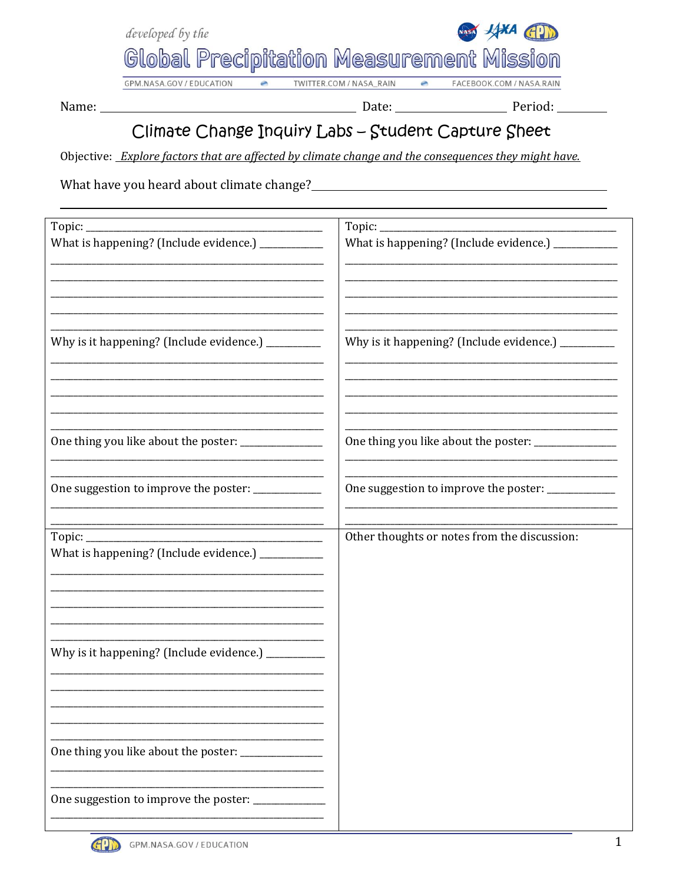

GPM.NASA.GOV / EDUCATION

Name: \_\_\_\_

Date: Date: Period: Period:

## Climate Change Inquiry Labs - Student Capture Sheet

Objective: Explore factors that are affected by climate change and the consequences they might have.

What have you heard about climate change?

| Topic: _<br>What is happening? (Include evidence.) ____________<br>Why is it happening? (Include evidence.) __________ | What is happening? (Include evidence.) ___________<br><u> 1989 - Johann John Stein, market fan it ferstjer fan it ferstjer fan it ferstjer fan it ferstjer fan it fers</u> |  |
|------------------------------------------------------------------------------------------------------------------------|----------------------------------------------------------------------------------------------------------------------------------------------------------------------------|--|
|                                                                                                                        | Why is it happening? (Include evidence.) _________                                                                                                                         |  |
| One thing you like about the poster: _____________                                                                     | One thing you like about the poster: _____________                                                                                                                         |  |
| One suggestion to improve the poster: ___________                                                                      | One suggestion to improve the poster: _____________                                                                                                                        |  |
| What is happening? (Include evidence.) ___________                                                                     | Other thoughts or notes from the discussion:                                                                                                                               |  |
| Why is it happening? (Include evidence.) _________                                                                     |                                                                                                                                                                            |  |
| One thing you like about the poster: ______________                                                                    |                                                                                                                                                                            |  |
| One suggestion to improve the poster: ____________                                                                     |                                                                                                                                                                            |  |